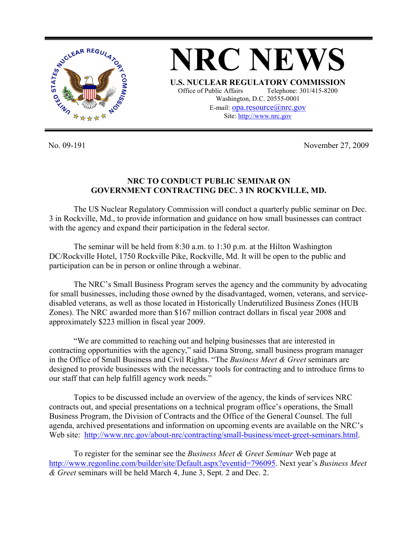

**NRC NEWS U.S. NUCLEAR REGULATORY COMMISSION** Office of Public Affairs Telephone: 301/415-8200 Washington, D.C. 20555-0001 E-mail: opa.resource@nrc.gov Site: http://www.nrc.gov

No. 09-191 November 27, 2009

## **NRC TO CONDUCT PUBLIC SEMINAR ON GOVERNMENT CONTRACTING DEC. 3 IN ROCKVILLE, MD.**

 The US Nuclear Regulatory Commission will conduct a quarterly public seminar on Dec. 3 in Rockville, Md., to provide information and guidance on how small businesses can contract with the agency and expand their participation in the federal sector.

 The seminar will be held from 8:30 a.m. to 1:30 p.m. at the Hilton Washington DC/Rockville Hotel, 1750 Rockville Pike, Rockville, Md. It will be open to the public and participation can be in person or online through a webinar.

 The NRC's Small Business Program serves the agency and the community by advocating for small businesses, including those owned by the disadvantaged, women, veterans, and servicedisabled veterans, as well as those located in Historically Underutilized Business Zones (HUB Zones). The NRC awarded more than \$167 million contract dollars in fiscal year 2008 and approximately \$223 million in fiscal year 2009.

 "We are committed to reaching out and helping businesses that are interested in contracting opportunities with the agency," said Diana Strong, small business program manager in the Office of Small Business and Civil Rights. "The *Business Meet & Greet* seminars are designed to provide businesses with the necessary tools for contracting and to introduce firms to our staff that can help fulfill agency work needs."

 Topics to be discussed include an overview of the agency, the kinds of services NRC contracts out, and special presentations on a technical program office's operations, the Small Business Program, the Division of Contracts and the Office of the General Counsel. The full agenda, archived presentations and information on upcoming events are available on the NRC's Web site: http://www.nrc.gov/about-nrc/contracting/small-business/meet-greet-seminars.html.

 To register for the seminar see the *Business Meet & Greet Seminar* Web page at http://www.regonline.com/builder/site/Default.aspx?eventid=796095. Next year's *Business Meet & Greet* seminars will be held March 4, June 3, Sept. 2 and Dec. 2.